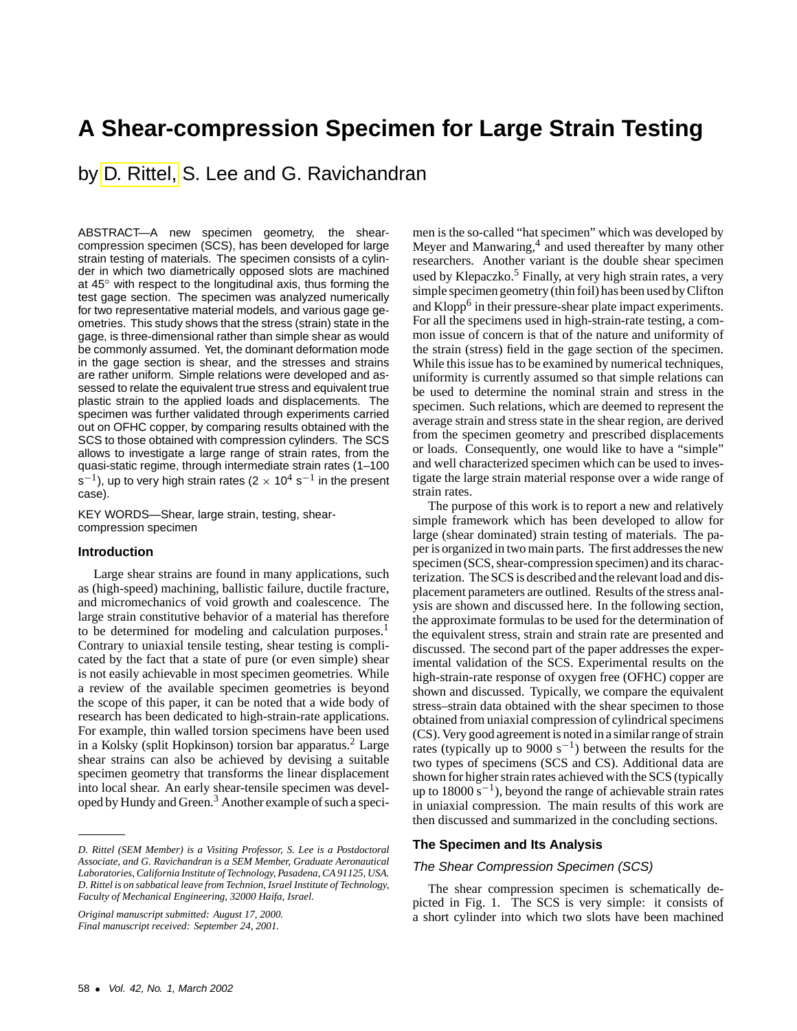# **A Shear-compression Specimen for Large Strain Testing**

by D. Rittel, S. Lee and G. Ravichandran

ABSTRACT—A new specimen geometry, the shearcompression specimen (SCS), has been developed for large strain testing of materials. The specimen consists of a cylinder in which two diametrically opposed slots are machined at 45◦ with respect to the longitudinal axis, thus forming the test gage section. The specimen was analyzed numerically for two representative material models, and various gage geometries. This study shows that the stress (strain) state in the gage, is three-dimensional rather than simple shear as would be commonly assumed. Yet, the dominant deformation mode in the gage section is shear, and the stresses and strains are rather uniform. Simple relations were developed and assessed to relate the equivalent true stress and equivalent true plastic strain to the applied loads and displacements. The specimen was further validated through experiments carried out on OFHC copper, by comparing results obtained with the SCS to those obtained with compression cylinders. The SCS allows to investigate a large range of strain rates, from the quasi-static regime, through intermediate strain rates (1–100 s<sup>-1</sup>), up to very high strain rates (2  $\times$  10<sup>4</sup> s<sup>-1</sup> in the present case).

KEY WORDS—Shear, large strain, testing, shearcompression specimen

### **Introduction**

Large shear strains are found in many applications, such as (high-speed) machining, ballistic failure, ductile fracture, and micromechanics of void growth and coalescence. The large strain constitutive behavior of a material has therefore to be determined for modeling and calculation purposes.<sup>1</sup> Contrary to uniaxial tensile testing, shear testing is complicated by the fact that a state of pure (or even simple) shear is not easily achievable in most specimen geometries. While a review of the available specimen geometries is beyond the scope of this paper, it can be noted that a wide body of research has been dedicated to high-strain-rate applications. For example, thin walled torsion specimens have been used in a Kolsky (split Hopkinson) torsion bar apparatus.<sup>2</sup> Large shear strains can also be achieved by devising a suitable specimen geometry that transforms the linear displacement into local shear. An early shear-tensile specimen was developed by Hundy and Green.<sup>3</sup> Another example of such a speci-

men is the so-called "hat specimen" which was developed by Meyer and Manwaring, $4$  and used thereafter by many other researchers. Another variant is the double shear specimen used by Klepaczko.<sup>5</sup> Finally, at very high strain rates, a very simple specimen geometry (thin foil) has been used by Clifton and Klopp<sup>6</sup> in their pressure-shear plate impact experiments. For all the specimens used in high-strain-rate testing, a common issue of concern is that of the nature and uniformity of the strain (stress) field in the gage section of the specimen. While this issue has to be examined by numerical techniques, uniformity is currently assumed so that simple relations can be used to determine the nominal strain and stress in the specimen. Such relations, which are deemed to represent the average strain and stress state in the shear region, are derived from the specimen geometry and prescribed displacements or loads. Consequently, one would like to have a "simple" and well characterized specimen which can be used to investigate the large strain material response over a wide range of strain rates.

The purpose of this work is to report a new and relatively simple framework which has been developed to allow for large (shear dominated) strain testing of materials. The paper is organized in two main parts. The first addresses the new specimen (SCS, shear-compression specimen) and its characterization. The SCS is described and the relevant load and displacement parameters are outlined. Results of the stress analysis are shown and discussed here. In the following section, the approximate formulas to be used for the determination of the equivalent stress, strain and strain rate are presented and discussed. The second part of the paper addresses the experimental validation of the SCS. Experimental results on the high-strain-rate response of oxygen free (OFHC) copper are shown and discussed. Typically, we compare the equivalent stress–strain data obtained with the shear specimen to those obtained from uniaxial compression of cylindrical specimens (CS). Very good agreement is noted in a similar range of strain rates (typically up to 9000 s−1) between the results for the two types of specimens (SCS and CS). Additional data are shown for higher strain rates achieved with the SCS (typically up to  $18000 \text{ s}^{-1}$ ), beyond the range of achievable strain rates in uniaxial compression. The main results of this work are then discussed and summarized in the concluding sections.

## **The Specimen and Its Analysis**

## The Shear Compression Specimen (SCS)

The shear compression specimen is schematically depicted in Fig. 1. The SCS is very simple: it consists of a short cylinder into which two slots have been machined

*D. Rittel (SEM Member) is a Visiting Professor, S. Lee is a Postdoctoral Associate, and G. Ravichandran is a SEM Member, Graduate Aeronautical Laboratories, California Institute of Technology, Pasadena, CA 91125, USA. D. Rittel is on sabbatical leave from Technion, Israel Institute of Technology, Faculty of Mechanical Engineering, 32000 Haifa, Israel.*

*Original manuscript submitted: August 17, 2000. Final manuscript received: September 24, 2001.*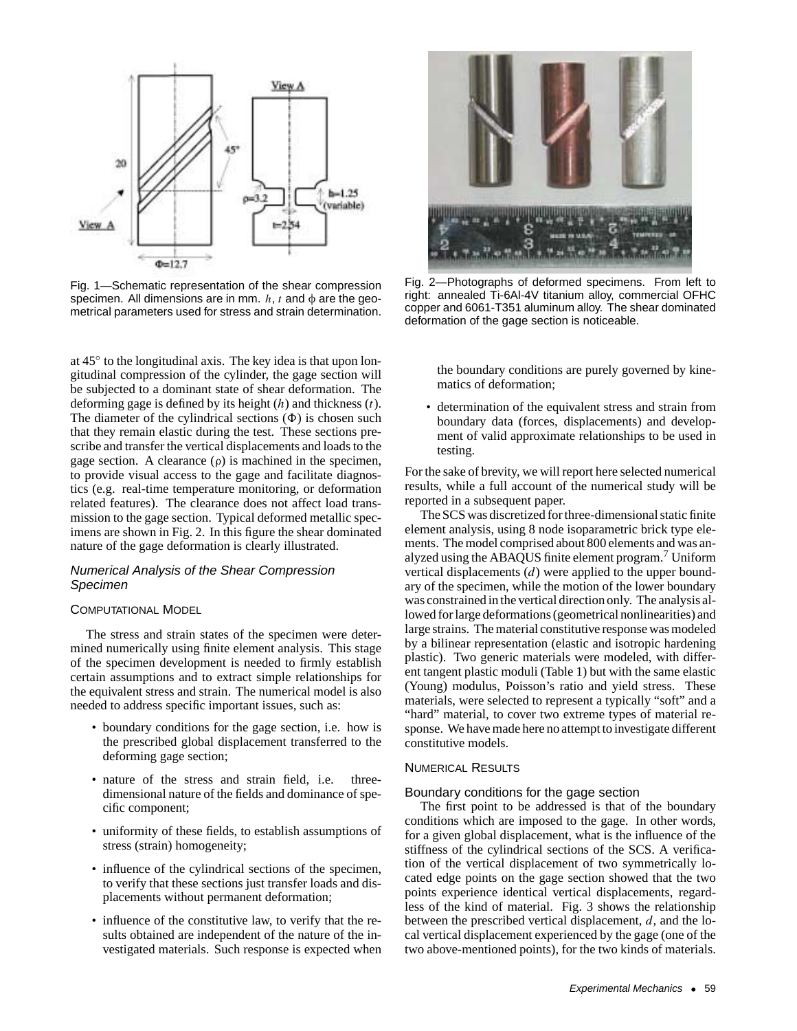

Fig. 1—Schematic representation of the shear compression specimen. All dimensions are in mm.  $h, t$  and  $\phi$  are the geometrical parameters used for stress and strain determination.

at 45◦ to the longitudinal axis. The key idea is that upon longitudinal compression of the cylinder, the gage section will be subjected to a dominant state of shear deformation. The deforming gage is defined by its height  $(h)$  and thickness  $(t)$ . The diameter of the cylindrical sections  $(\Phi)$  is chosen such that they remain elastic during the test. These sections prescribe and transfer the vertical displacements and loads to the gage section. A clearance  $(\rho)$  is machined in the specimen, to provide visual access to the gage and facilitate diagnostics (e.g. real-time temperature monitoring, or deformation related features). The clearance does not affect load transmission to the gage section. Typical deformed metallic specimens are shown in Fig. 2. In this figure the shear dominated nature of the gage deformation is clearly illustrated.

# Numerical Analysis of the Shear Compression Specimen

## COMPUTATIONAL MODEL

The stress and strain states of the specimen were determined numerically using finite element analysis. This stage of the specimen development is needed to firmly establish certain assumptions and to extract simple relationships for the equivalent stress and strain. The numerical model is also needed to address specific important issues, such as:

- boundary conditions for the gage section, i.e. how is the prescribed global displacement transferred to the deforming gage section;
- nature of the stress and strain field, i.e. threedimensional nature of the fields and dominance of specific component;
- uniformity of these fields, to establish assumptions of stress (strain) homogeneity;
- influence of the cylindrical sections of the specimen, to verify that these sections just transfer loads and displacements without permanent deformation;
- influence of the constitutive law, to verify that the results obtained are independent of the nature of the investigated materials. Such response is expected when



Fig. 2—Photographs of deformed specimens. From left to right: annealed Ti-6Al-4V titanium alloy, commercial OFHC copper and 6061-T351 aluminum alloy. The shear dominated deformation of the gage section is noticeable.

the boundary conditions are purely governed by kinematics of deformation;

• determination of the equivalent stress and strain from boundary data (forces, displacements) and development of valid approximate relationships to be used in testing.

For the sake of brevity, we will report here selected numerical results, while a full account of the numerical study will be reported in a subsequent paper.

The SCS was discretized for three-dimensional static finite element analysis, using 8 node isoparametric brick type elements. The model comprised about 800 elements and was analyzed using the ABAQUS finite element program.<sup>7</sup> Uniform vertical displacements  $(d)$  were applied to the upper boundary of the specimen, while the motion of the lower boundary was constrained in the vertical direction only. The analysis allowed for large deformations (geometrical nonlinearities) and large strains. The material constitutive response was modeled by a bilinear representation (elastic and isotropic hardening plastic). Two generic materials were modeled, with different tangent plastic moduli (Table 1) but with the same elastic (Young) modulus, Poisson's ratio and yield stress. These materials, were selected to represent a typically "soft" and a "hard" material, to cover two extreme types of material response. We have made here no attempt to investigate different constitutive models.

### NUMERICAL RESULTS

### Boundary conditions for the gage section

The first point to be addressed is that of the boundary conditions which are imposed to the gage. In other words, for a given global displacement, what is the influence of the stiffness of the cylindrical sections of the SCS. A verification of the vertical displacement of two symmetrically located edge points on the gage section showed that the two points experience identical vertical displacements, regardless of the kind of material. Fig. 3 shows the relationship between the prescribed vertical displacement, d, and the local vertical displacement experienced by the gage (one of the two above-mentioned points), for the two kinds of materials.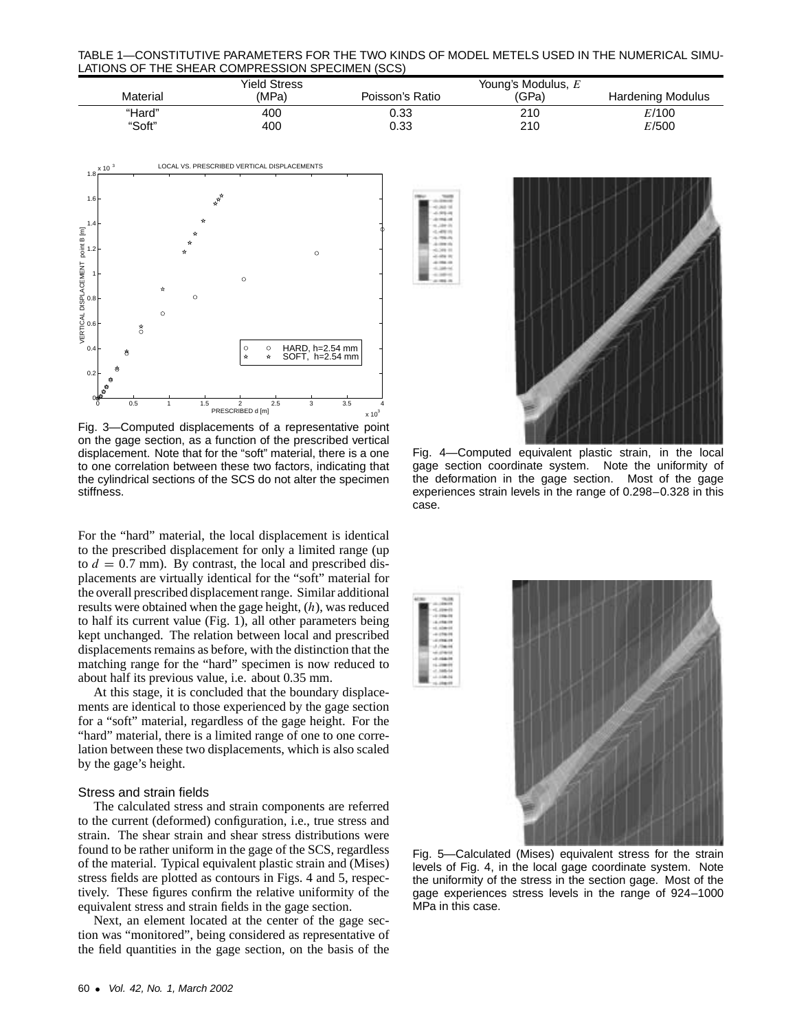TABLE 1—CONSTITUTIVE PARAMETERS FOR THE TWO KINDS OF MODEL METELS USED IN THE NUMERICAL SIMU-LATIONS OF THE SHEAR COMPRESSION SPECIMEN (SCS)

|          | Yield Stress |                 | Young's Modulus, E |                   |
|----------|--------------|-----------------|--------------------|-------------------|
| Material | (MPa)        | Poisson's Ratio | 'GPa)              | Hardening Modulus |
| "Hard"   | 400          | 0.33            | 210                | E/100             |
| "Soft"   | 400          | 0.33            | 210                | E/500             |



Fig. 3—Computed displacements of a representative point on the gage section, as a function of the prescribed vertical displacement. Note that for the "soft" material, there is a one to one correlation between these two factors, indicating that the cylindrical sections of the SCS do not alter the specimen stiffness.

For the "hard" material, the local displacement is identical to the prescribed displacement for only a limited range (up to  $d = 0.7$  mm). By contrast, the local and prescribed displacements are virtually identical for the "soft" material for the overall prescribed displacement range. Similar additional results were obtained when the gage height,  $(h)$ , was reduced to half its current value (Fig. 1), all other parameters being kept unchanged. The relation between local and prescribed displacements remains as before, with the distinction that the matching range for the "hard" specimen is now reduced to about half its previous value, i.e. about 0.35 mm.

At this stage, it is concluded that the boundary displacements are identical to those experienced by the gage section for a "soft" material, regardless of the gage height. For the "hard" material, there is a limited range of one to one correlation between these two displacements, which is also scaled by the gage's height.

#### Stress and strain fields

The calculated stress and strain components are referred to the current (deformed) configuration, i.e., true stress and strain. The shear strain and shear stress distributions were found to be rather uniform in the gage of the SCS, regardless of the material. Typical equivalent plastic strain and (Mises) stress fields are plotted as contours in Figs. 4 and 5, respectively. These figures confirm the relative uniformity of the equivalent stress and strain fields in the gage section.

Next, an element located at the center of the gage section was "monitored", being considered as representative of the field quantities in the gage section, on the basis of the



Fig. 4—Computed equivalent plastic strain, in the local gage section coordinate system. Note the uniformity of the deformation in the gage section. Most of the gage experiences strain levels in the range of 0.298–0.328 in this case.



Fig. 5—Calculated (Mises) equivalent stress for the strain levels of Fig. 4, in the local gage coordinate system. Note the uniformity of the stress in the section gage. Most of the gage experiences stress levels in the range of 924–1000 MPa in this case.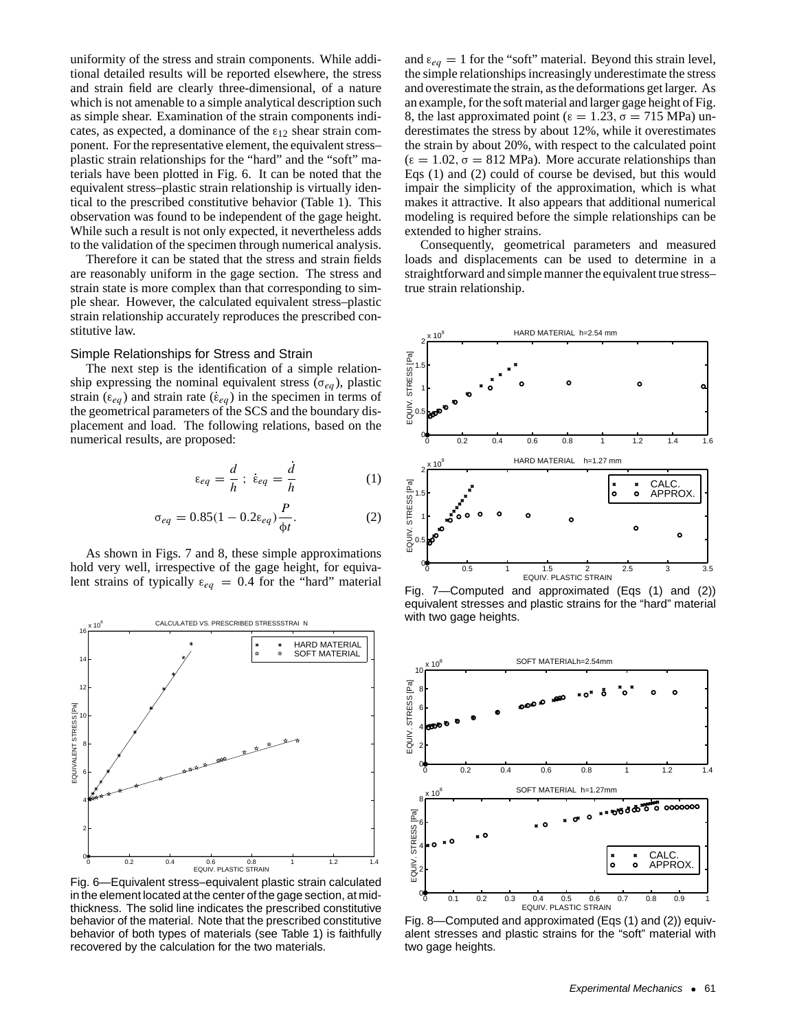uniformity of the stress and strain components. While additional detailed results will be reported elsewhere, the stress and strain field are clearly three-dimensional, of a nature which is not amenable to a simple analytical description such as simple shear. Examination of the strain components indicates, as expected, a dominance of the  $\varepsilon_{12}$  shear strain component. For the representative element, the equivalent stress– plastic strain relationships for the "hard" and the "soft" materials have been plotted in Fig. 6. It can be noted that the equivalent stress–plastic strain relationship is virtually identical to the prescribed constitutive behavior (Table 1). This observation was found to be independent of the gage height. While such a result is not only expected, it nevertheless adds to the validation of the specimen through numerical analysis.

Therefore it can be stated that the stress and strain fields are reasonably uniform in the gage section. The stress and strain state is more complex than that corresponding to simple shear. However, the calculated equivalent stress–plastic strain relationship accurately reproduces the prescribed constitutive law.

#### Simple Relationships for Stress and Strain

The next step is the identification of a simple relationship expressing the nominal equivalent stress ( $\sigma_{eq}$ ), plastic strain ( $\varepsilon_{eq}$ ) and strain rate ( $\dot{\varepsilon}_{eq}$ ) in the specimen in terms of the geometrical parameters of the SCS and the boundary displacement and load. The following relations, based on the numerical results, are proposed:

$$
\varepsilon_{eq} = \frac{d}{h} \; ; \; \dot{\varepsilon}_{eq} = \frac{\dot{d}}{h} \tag{1}
$$

$$
\sigma_{eq} = 0.85(1 - 0.2\varepsilon_{eq}) \frac{P}{\phi t}.
$$
 (2)

As shown in Figs. 7 and 8, these simple approximations hold very well, irrespective of the gage height, for equivalent strains of typically  $\varepsilon_{eq} = 0.4$  for the "hard" material



Fig. 6—Equivalent stress–equivalent plastic strain calculated in the element located at the center of the gage section, at midthickness. The solid line indicates the prescribed constitutive behavior of the material. Note that the prescribed constitutive behavior of both types of materials (see Table 1) is faithfully recovered by the calculation for the two materials.

and  $\varepsilon_{eq} = 1$  for the "soft" material. Beyond this strain level, the simple relationships increasingly underestimate the stress and overestimate the strain, as the deformations get larger. As an example, for the soft material and larger gage height of Fig. 8, the last approximated point ( $\varepsilon = 1.23$ ,  $\sigma = 715$  MPa) underestimates the stress by about 12%, while it overestimates the strain by about 20%, with respect to the calculated point  $(\epsilon = 1.02, \sigma = 812 \text{ MPa})$ . More accurate relationships than Eqs (1) and (2) could of course be devised, but this would impair the simplicity of the approximation, which is what makes it attractive. It also appears that additional numerical modeling is required before the simple relationships can be extended to higher strains.

Consequently, geometrical parameters and measured loads and displacements can be used to determine in a straightforward and simple manner the equivalent true stress– true strain relationship.



Fig. 7—Computed and approximated (Eqs (1) and (2)) equivalent stresses and plastic strains for the "hard" material with two gage heights.



Fig. 8—Computed and approximated (Eqs (1) and (2)) equivalent stresses and plastic strains for the "soft" material with two gage heights.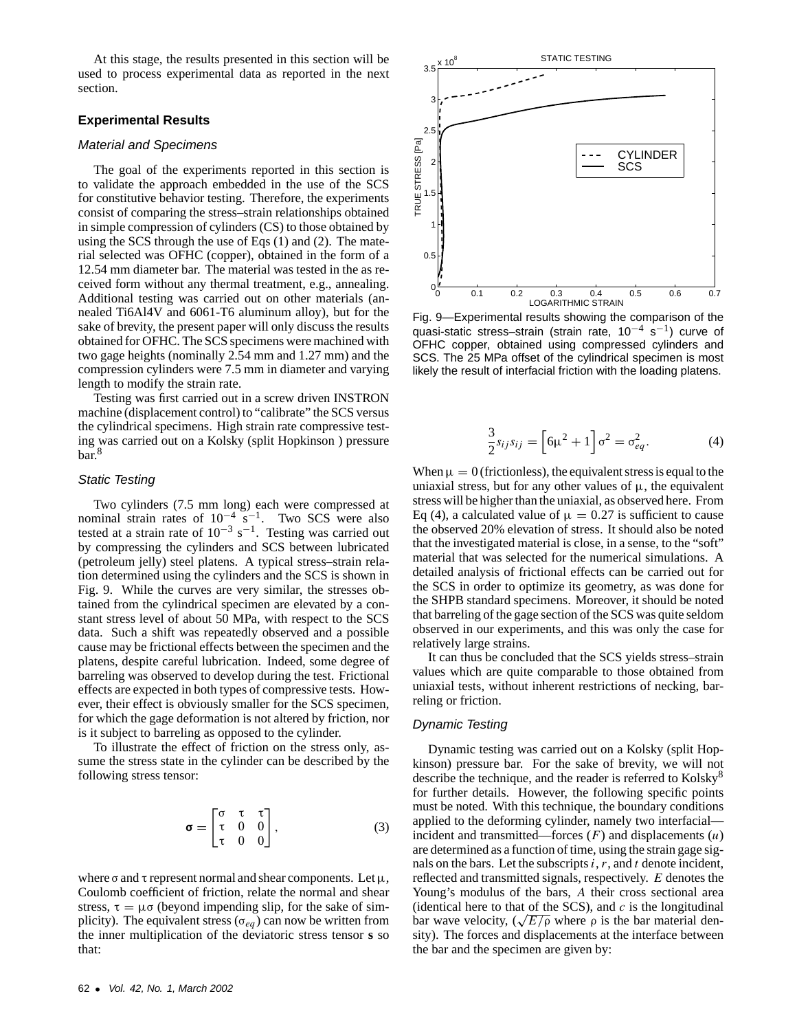At this stage, the results presented in this section will be used to process experimental data as reported in the next section.

## **Experimental Results**

#### Material and Specimens

The goal of the experiments reported in this section is to validate the approach embedded in the use of the SCS for constitutive behavior testing. Therefore, the experiments consist of comparing the stress–strain relationships obtained in simple compression of cylinders (CS) to those obtained by using the SCS through the use of Eqs (1) and (2). The material selected was OFHC (copper), obtained in the form of a 12.54 mm diameter bar. The material was tested in the as received form without any thermal treatment, e.g., annealing. Additional testing was carried out on other materials (annealed Ti6Al4V and 6061-T6 aluminum alloy), but for the sake of brevity, the present paper will only discuss the results obtained for OFHC. The SCS specimens were machined with two gage heights (nominally 2.54 mm and 1.27 mm) and the compression cylinders were 7.5 mm in diameter and varying length to modify the strain rate.

Testing was first carried out in a screw driven INSTRON machine (displacement control) to "calibrate" the SCS versus the cylindrical specimens. High strain rate compressive testing was carried out on a Kolsky (split Hopkinson ) pressure bar.<sup>8</sup>

#### Static Testing

Two cylinders (7.5 mm long) each were compressed at nominal strain rates of  $10^{-4}$  s<sup>−1</sup>. Two SCS were also tested at a strain rate of  $10^{-3}$  s<sup>-1</sup>. Testing was carried out by compressing the cylinders and SCS between lubricated (petroleum jelly) steel platens. A typical stress–strain relation determined using the cylinders and the SCS is shown in Fig. 9. While the curves are very similar, the stresses obtained from the cylindrical specimen are elevated by a constant stress level of about 50 MPa, with respect to the SCS data. Such a shift was repeatedly observed and a possible cause may be frictional effects between the specimen and the platens, despite careful lubrication. Indeed, some degree of barreling was observed to develop during the test. Frictional effects are expected in both types of compressive tests. However, their effect is obviously smaller for the SCS specimen, for which the gage deformation is not altered by friction, nor is it subject to barreling as opposed to the cylinder.

To illustrate the effect of friction on the stress only, assume the stress state in the cylinder can be described by the following stress tensor:

$$
\boldsymbol{\sigma} = \begin{bmatrix} \sigma & \tau & \tau \\ \tau & 0 & 0 \\ \tau & 0 & 0 \end{bmatrix}, \tag{3}
$$

where  $\sigma$  and  $\tau$  represent normal and shear components. Let  $\mu$ , Coulomb coefficient of friction, relate the normal and shear stress,  $\tau = \mu \sigma$  (beyond impending slip, for the sake of simplicity). The equivalent stress ( $\sigma_{eq}$ ) can now be written from the inner multiplication of the deviatoric stress tensor **s** so that:



Fig. 9—Experimental results showing the comparison of the quasi-static stress–strain (strain rate,  $10^{-4}$  s<sup>-1</sup>) curve of OFHC copper, obtained using compressed cylinders and SCS. The 25 MPa offset of the cylindrical specimen is most likely the result of interfacial friction with the loading platens.

$$
\frac{3}{2}s_{ij}s_{ij} = \left[6\mu^2 + 1\right]\sigma^2 = \sigma_{eq}^2.
$$
 (4)

When  $\mu = 0$  (frictionless), the equivalent stress is equal to the uniaxial stress, but for any other values of  $\mu$ , the equivalent stress will be higher than the uniaxial, as observed here. From Eq (4), a calculated value of  $\mu = 0.27$  is sufficient to cause the observed 20% elevation of stress. It should also be noted that the investigated material is close, in a sense, to the "soft" material that was selected for the numerical simulations. A detailed analysis of frictional effects can be carried out for the SCS in order to optimize its geometry, as was done for the SHPB standard specimens. Moreover, it should be noted that barreling of the gage section of the SCS was quite seldom observed in our experiments, and this was only the case for relatively large strains.

It can thus be concluded that the SCS yields stress–strain values which are quite comparable to those obtained from uniaxial tests, without inherent restrictions of necking, barreling or friction.

## Dynamic Testing

Dynamic testing was carried out on a Kolsky (split Hopkinson) pressure bar. For the sake of brevity, we will not describe the technique, and the reader is referred to Kolsky<sup>8</sup> for further details. However, the following specific points must be noted. With this technique, the boundary conditions applied to the deforming cylinder, namely two interfacial incident and transmitted—forces  $(F)$  and displacements  $(u)$ are determined as a function of time, using the strain gage signals on the bars. Let the subscripts  $i, r$ , and  $t$  denote incident, reflected and transmitted signals, respectively. E denotes the Young's modulus of the bars, A their cross sectional area (identical here to that of the SCS), and  $c$  is the longitudinal bar wave velocity,  $(\sqrt{E/\rho})$  where  $\rho$  is the bar material density). The forces and displacements at the interface between the bar and the specimen are given by: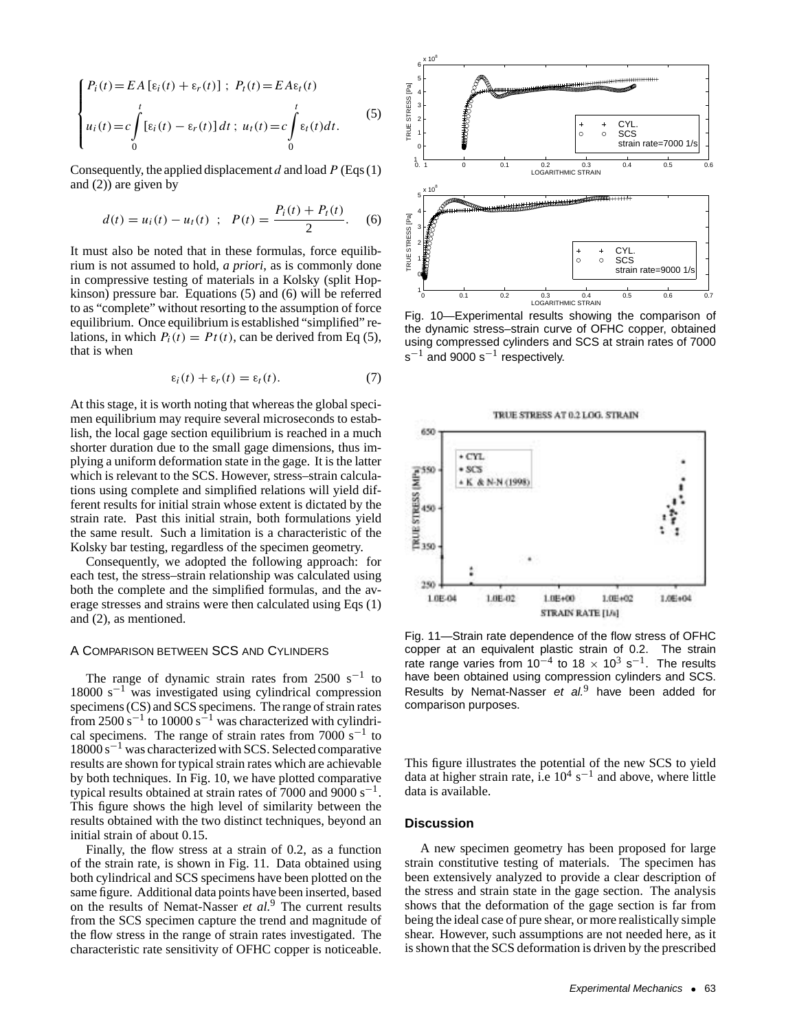$$
\begin{cases}\nP_i(t) = EA\left[\varepsilon_i(t) + \varepsilon_r(t)\right] \; ; \; P_t(t) = EA\varepsilon_t(t) \\
u_i(t) = c \int_0^t \left[\varepsilon_i(t) - \varepsilon_r(t)\right] dt \; ; \; u_t(t) = c \int_0^t \varepsilon_t(t) dt.\n\end{cases} \tag{5}
$$

Consequently, the applied displacement d and load  $P$  (Eqs (1) and (2)) are given by

$$
d(t) = u_i(t) - u_t(t) \; ; \; P(t) = \frac{P_i(t) + P_t(t)}{2}.
$$
 (6)

It must also be noted that in these formulas, force equilibrium is not assumed to hold, *a priori*, as is commonly done in compressive testing of materials in a Kolsky (split Hopkinson) pressure bar. Equations (5) and (6) will be referred to as "complete" without resorting to the assumption of force equilibrium. Once equilibrium is established "simplified" relations, in which  $P_i(t) = Pt(t)$ , can be derived from Eq (5), that is when

$$
\varepsilon_i(t) + \varepsilon_r(t) = \varepsilon_t(t). \tag{7}
$$

At this stage, it is worth noting that whereas the global specimen equilibrium may require several microseconds to establish, the local gage section equilibrium is reached in a much shorter duration due to the small gage dimensions, thus implying a uniform deformation state in the gage. It is the latter which is relevant to the SCS. However, stress–strain calculations using complete and simplified relations will yield different results for initial strain whose extent is dictated by the strain rate. Past this initial strain, both formulations yield the same result. Such a limitation is a characteristic of the Kolsky bar testing, regardless of the specimen geometry.

Consequently, we adopted the following approach: for each test, the stress–strain relationship was calculated using both the complete and the simplified formulas, and the average stresses and strains were then calculated using Eqs (1) and (2), as mentioned.

#### A COMPARISON BETWEEN SCS AND CYLINDERS

The range of dynamic strain rates from 2500 s<sup>-1</sup> to 18000 s−<sup>1</sup> was investigated using cylindrical compression specimens (CS) and SCS specimens. The range of strain rates from 2500 s<sup>-1</sup> to 10000 s<sup>-1</sup> was characterized with cylindrical specimens. The range of strain rates from  $7000 \text{ s}^{-1}$  to 18000 s−<sup>1</sup> was characterized with SCS. Selected comparative results are shown for typical strain rates which are achievable by both techniques. In Fig. 10, we have plotted comparative typical results obtained at strain rates of 7000 and 9000  $s^{-1}$ . This figure shows the high level of similarity between the results obtained with the two distinct techniques, beyond an initial strain of about 0.15.

Finally, the flow stress at a strain of 0.2, as a function of the strain rate, is shown in Fig. 11. Data obtained using both cylindrical and SCS specimens have been plotted on the same figure. Additional data points have been inserted, based on the results of Nemat-Nasser *et al.*<sup>9</sup> The current results from the SCS specimen capture the trend and magnitude of the flow stress in the range of strain rates investigated. The characteristic rate sensitivity of OFHC copper is noticeable.



Fig. 10—Experimental results showing the comparison of the dynamic stress–strain curve of OFHC copper, obtained using compressed cylinders and SCS at strain rates of 7000  $s^{-1}$  and 9000 s<sup>-1</sup> respectively.





Fig. 11—Strain rate dependence of the flow stress of OFHC copper at an equivalent plastic strain of 0.2. The strain rate range varies from  $10^{-4}$  to  $18 \times 10^3$  s<sup>-1</sup>. The results have been obtained using compression cylinders and SCS. Results by Nemat-Nasser et  $al<sup>9</sup>$  have been added for comparison purposes.

This figure illustrates the potential of the new SCS to yield data at higher strain rate, i.e  $10^4$  s<sup>-1</sup> and above, where little data is available.

## **Discussion**

A new specimen geometry has been proposed for large strain constitutive testing of materials. The specimen has been extensively analyzed to provide a clear description of the stress and strain state in the gage section. The analysis shows that the deformation of the gage section is far from being the ideal case of pure shear, or more realistically simple shear. However, such assumptions are not needed here, as it is shown that the SCS deformation is driven by the prescribed